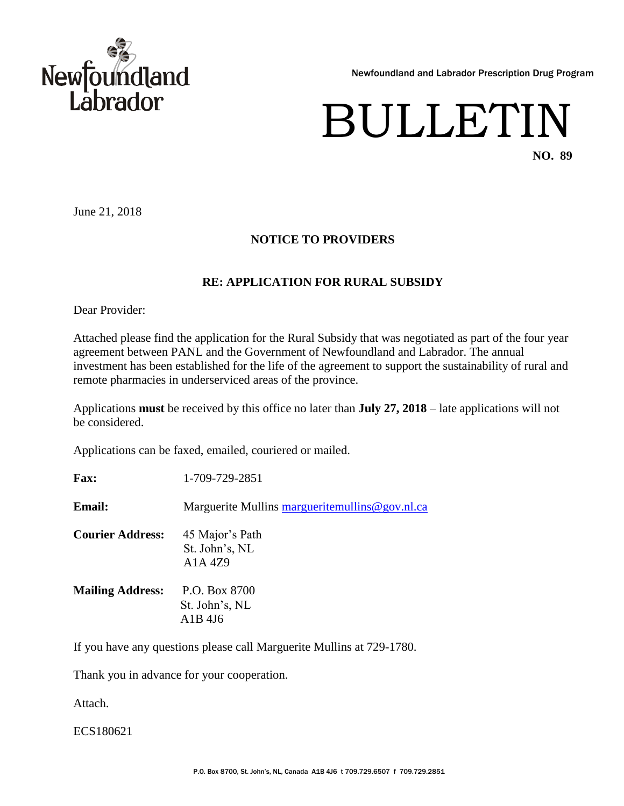

Newfoundland and Labrador Prescription Drug Program

## BULLETIN **NO. 89**

June 21, 2018

## **NOTICE TO PROVIDERS**

## **RE: APPLICATION FOR RURAL SUBSIDY**

Dear Provider:

Attached please find the application for the Rural Subsidy that was negotiated as part of the four year agreement between PANL and the Government of Newfoundland and Labrador. The annual investment has been established for the life of the agreement to support the sustainability of rural and remote pharmacies in underserviced areas of the province.

Applications **must** be received by this office no later than **July 27, 2018** – late applications will not be considered.

Applications can be faxed, emailed, couriered or mailed.

**Fax:** 1-709-729-2851

**Email:** Marguerite Mullins margueritemullins @gov.nl.ca

**Courier Address:** 45 Major's Path St. John's, NL A1A 4Z9

**Mailing Address:** P.O. Box 8700 St. John's, NL A1B 4J6

If you have any questions please call Marguerite Mullins at 729-1780.

Thank you in advance for your cooperation.

Attach.

ECS180621